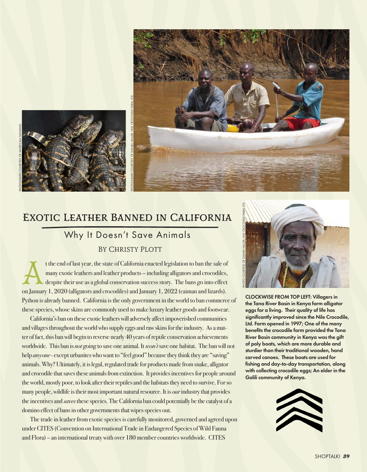

## Exotic Leather Banned in California

## Why It Doesn't Save Animals BY CHRISTY PLOTT

t the end of last year, the state of California enacted legislation to ban the sale of many exotic leathers and leather products – including alligators and crocodiles, despite their use as a global conservation success story. The bans go into effect on January 1, 2020 (alligators and crocodiles) and January 1, 2022 (caiman and lizards). Python is already banned. California is the only government in the world to ban commerce of these species, whose skins are commonly used to make luxury leather goods and footwear.

California's ban on these exotic leathers will adversely affect impoverished communities and villages throughout the world who supply eggs and raw skins for the industry. As a matter of fact, this ban will begin to reverse nearly 40 years of reptile conservation achievements worldwide. This ban is *not* going to save one animal. It *won't* save one habitat. The ban will not help *anyone* - except urbanites who want to "feel good" because they think they are "saving" animals. Why? Ultimately, it is legal, regulated trade for products made from snake, alligator and crocodile that saves these animals from extinction. It provides incentives for people around the world, mostly poor, to look after their reptiles and the habitats they need to survive. For so many people, wildlife is their most important natural resource. It is *our* industry that provides the incentives and *saves* these species. The California ban could potentially be the catalyst of a domino effect of bans in other governments that wipes species out.

The trade in leather from exotic species is carefully monitored, governed and agreed upon under CITES (Convention on International Trade in Endangered Species of Wild Fauna and Flora) – an international treaty with over 180 member countries worldwide. CITES



CLOCKWISE FROM TOP LEFT: Villagers in the Tana River Basin in Kenya farm alligator eggs for a living. Their quality of life has significantly improved since the Nile Crocodile, Ltd. Farm opened in 1997; One of the many benefits the crocodile farm provided the Tana River Basin community in Kenya was the gift of poly boats, which are more durable and sturdier than their traditional wooden, hand carved canoes. These boats are used for fishing and day-to-day transportation, along with collecting crocodile eggs; An elder in the Galili community of Kenya.

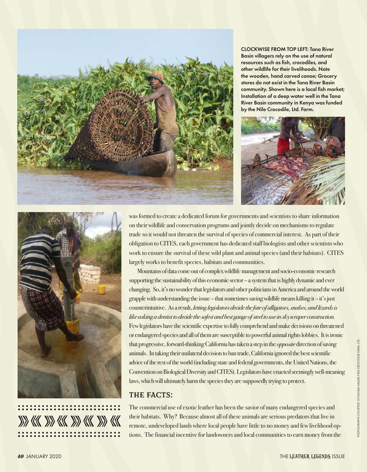

CLOCKWISE FROM TOP LEFT: Tana River Basin villagers rely on the use of natural resources such as fish, crocodiles, and other wildlife for their livelihoods. Note the wooden, hand carved canoe; Grocery stores do not exist in the Tana River Basin community. Shown here is a local fish market; Installation of a deep water well in the Tana River Basin community in Kenya was funded by the Nile Crocodile, Ltd. Farm.





was formed to create a dedicated forum for governments and scientists to share information on their wildlife and conservation programs and jointly decide on mechanisms to regulate trade so it would not threaten the survival of species of commercial interest. As part of their obligation to CITES, each government has dedicated staff biologists and other scientists who work to ensure the survival of these wild plant and animal species (and their habitats). CITES largely works to benefit species, habitats and communities.

Mountains of data come out of complex wildlife management and socio-economic research supporting the sustainability of this economic sector – a system that is highly dynamic and ever changing. So, it's no wonder that legislators and other politicians in America and around the world grapple with understanding the issue – that sometimes saving wildlife means killing it – it's just counterintuitive. As a result, *letting legislators decide the fate of alligators, snakes, and lizards is like asking a dentist to decide the safest and best gauge of steel to use in skyscraper construction.*  Few legislators have the scientific expertise to fully comprehend and make decisions on threatened or endangered species and all of them are susceptible to powerful animal rights lobbies. It is ironic that progressive, forward-thinking California has taken a step in the *opposite* direction of saving animals. In taking their unilateral decision to ban trade, California ignored the best scientific advice of the rest of the world (including state and federal governments, the United Nations, the Convention on Biological Diversity and CITES). Legislators have enacted seemingly well-meaning laws, which will ultimately harm the species they are supposedly trying to protect.

## THE FACTS:

The commercial use of exotic leather has been the savior of many endangered species and their habitats. Why? Because almost all of these animals are serious predators that live in remote, undeveloped lands where local people have little to no money and few livelihood options. The financial incentive for landowners and local communities to earn money from the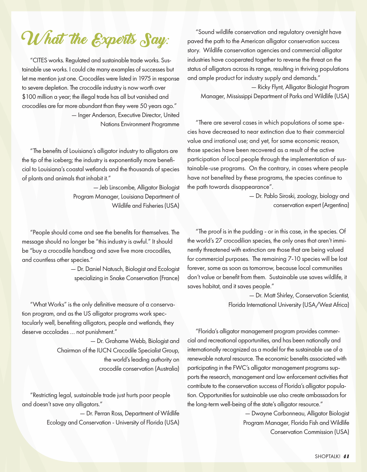**What the Experts Say:**

"CITES works. Regulated and sustainable trade works. Sustainable use works. I could cite many examples of successes but let me mention just one. Crocodiles were listed in 1975 in response to severe depletion. The crocodile industry is now worth over \$100 million a year; the illegal trade has all but vanished and crocodiles are far more abundant than they were 50 years ago." — Inger Anderson, Executive Director, United Nations Environment Programme

"The benefits of Louisiana's alligator industry to alligators are the tip of the iceberg; the industry is exponentially more beneficial to Louisiana's coastal wetlands and the thousands of species of plants and animals that inhabit it."

> — Jeb Linscombe, Alligator Biologist Program Manager, Louisiana Department of Wildlife and Fisheries (USA)

"People should come and see the benefits for themselves. The message should no longer be "this industry is awful." It should be "buy a crocodile handbag and save five more crocodiles, and countless other species."

> — Dr. Daniel Natusch, Biologist and Ecologist specializing in Snake Conservation (France)

"What Works" is the only definitive measure of a conservation program, and as the US alligator programs work spectacularly well, benefiting alligators, people and wetlands, they deserve accolades … not punishment."

> — Dr. Grahame Webb, Biologist and Chairman of the IUCN Crocodile Specialist Group, the world's leading authority on crocodile conservation (Australia)

"Restricting legal, sustainable trade just hurts poor people and doesn't save any alligators."

> — Dr. Perran Ross, Department of Wildlife Ecology and Conservation - University of Florida (USA)

"Sound wildlife conservation and regulatory oversight have paved the path to the American alligator conservation success story. Wildlife conservation agencies and commercial alligator industries have cooperated together to reverse the threat on the status of alligators across its range, resulting in thriving populations and ample product for industry supply and demands."

 — Ricky Flynt, Alligator Biologist Program Manager, Mississippi Department of Parks and Wildlife (USA)

"There are several cases in which populations of some species have decreased to near extinction due to their commercial value and irrational use; and yet, for same economic reason, those species have been recovered as a result of the active participation of local people through the implementation of sustainable-use programs. On the contrary, in cases where people have not benefited by these programs, the species continue to the path towards disappearance".

> — Dr. Pablo Siroski, zoology, biology and conservation expert (Argentina)

"The proof is in the pudding - or in this case, in the species. Of the world's 27 crocodilian species, the only ones that aren't imminently threatened with extinction are those that are being valued for commercial purposes. The remaining 7-10 species will be lost forever, some as soon as tomorrow, because local communities don't value or benefit from them. Sustainable use saves wildlife, it saves habitat, and it saves people."

> — Dr. Matt Shirley, Conservation Scientist, Florida International University (USA/West Africa)

"Florida's alligator management program provides commercial and recreational opportunities, and has been nationally and internationally recognized as a model for the sustainable use of a renewable natural resource. The economic benefits associated with participating in the FWC's alligator management programs supports the research, management and law enforcement activities that contribute to the conservation success of Florida's alligator population. Opportunities for sustainable use also create ambassadors for the long-term well-being of the state's alligator resource."

> — Dwayne Carbonneau, Alligator Biologist Program Manager, Florida Fish and Wildlife Conservation Commission (USA)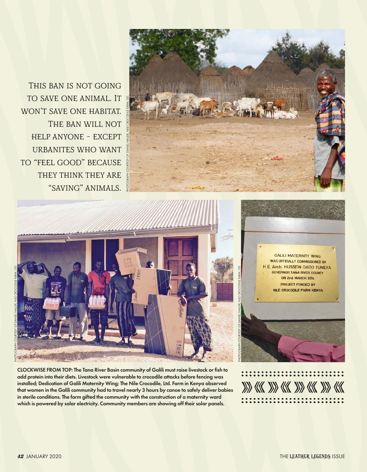This ban is not going to save one animal. It won't save one habitat. THE BAN WILL NOT help anyone - except urbanites who want to "feel good" because they think they are "saving" animals.





CLOCKWISE FROM TOP: The Tana River Basin community of Galili must raise livestock or fish to add protein into their diets. Livestock were vulnerable to crocodile attacks before fencing was installed; Dedication of Galili Maternity Wing; The Nile Crocodile, Ltd. Farm in Kenya observed that women in the Galili community had to travel nearly 3 hours by canoe to safely deliver babies in sterile conditions. The farm gifted the community with the construction of a maternity ward which is powered by solar electricity. Community members are showing off their solar panels.